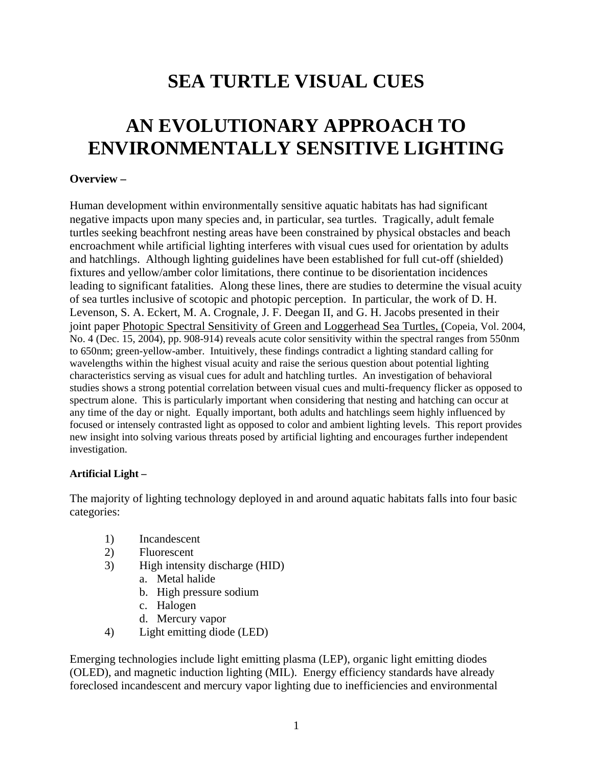## **SEA TURTLE VISUAL CUES**

# **AN EVOLUTIONARY APPROACH TO ENVIRONMENTALLY SENSITIVE LIGHTING**

#### **Overview –**

Human development within environmentally sensitive aquatic habitats has had significant negative impacts upon many species and, in particular, sea turtles. Tragically, adult female turtles seeking beachfront nesting areas have been constrained by physical obstacles and beach encroachment while artificial lighting interferes with visual cues used for orientation by adults and hatchlings. Although lighting guidelines have been established for full cut-off (shielded) fixtures and yellow/amber color limitations, there continue to be disorientation incidences leading to significant fatalities. Along these lines, there are studies to determine the visual acuity of sea turtles inclusive of scotopic and photopic perception. In particular, the work of D. H. Levenson, S. A. Eckert, M. A. Crognale, J. F. Deegan II, and G. H. Jacobs presented in their joint paper Photopic Spectral Sensitivity of Green and Loggerhead Sea Turtles, (Copeia, Vol. 2004, No. 4 (Dec. 15, 2004), pp. 908-914) reveals acute color sensitivity within the spectral ranges from 550nm to 650nm; green-yellow-amber. Intuitively, these findings contradict a lighting standard calling for wavelengths within the highest visual acuity and raise the serious question about potential lighting characteristics serving as visual cues for adult and hatchling turtles. An investigation of behavioral studies shows a strong potential correlation between visual cues and multi-frequency flicker as opposed to spectrum alone. This is particularly important when considering that nesting and hatching can occur at any time of the day or night. Equally important, both adults and hatchlings seem highly influenced by focused or intensely contrasted light as opposed to color and ambient lighting levels. This report provides new insight into solving various threats posed by artificial lighting and encourages further independent investigation.

#### **Artificial Light –**

The majority of lighting technology deployed in and around aquatic habitats falls into four basic categories:

- 1) Incandescent
- 2) Fluorescent
- 3) High intensity discharge (HID)
	- a. Metal halide
	- b. High pressure sodium
	- c. Halogen
	- d. Mercury vapor
- 4) Light emitting diode (LED)

Emerging technologies include light emitting plasma (LEP), organic light emitting diodes (OLED), and magnetic induction lighting (MIL). Energy efficiency standards have already foreclosed incandescent and mercury vapor lighting due to inefficiencies and environmental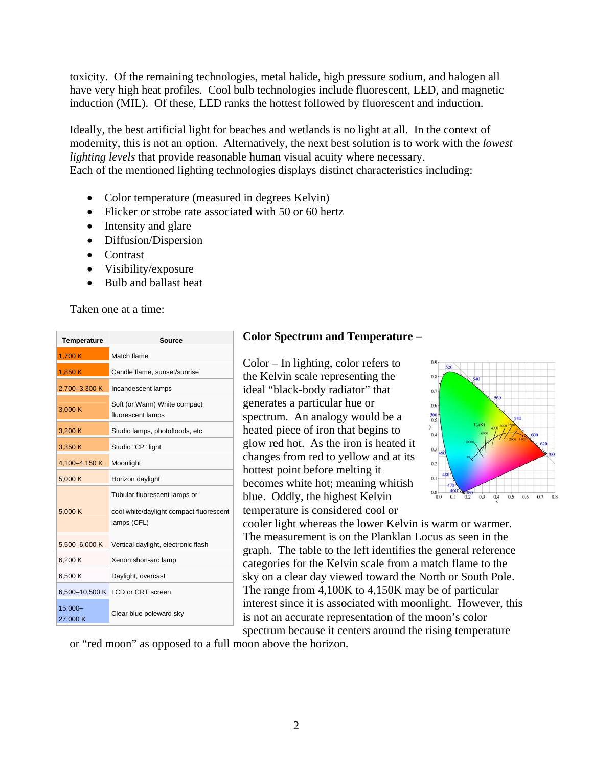toxicity. Of the remaining technologies, metal halide, high pressure sodium, and halogen all have very high heat profiles. Cool bulb technologies include fluorescent, LED, and magnetic induction (MIL). Of these, LED ranks the hottest followed by fluorescent and induction.

Ideally, the best artificial light for beaches and wetlands is no light at all. In the context of modernity, this is not an option. Alternatively, the next best solution is to work with the *lowest lighting levels* that provide reasonable human visual acuity where necessary. Each of the mentioned lighting technologies displays distinct characteristics including:

- Color temperature (measured in degrees Kelvin)
- Flicker or strobe rate associated with 50 or 60 hertz
- Intensity and glare
- Diffusion/Dispersion
- Contrast
- Visibility/exposure
- Bulb and ballast heat

Taken one at a time:

| <b>Temperature</b>  | <b>Source</b>                                          |
|---------------------|--------------------------------------------------------|
| 1,700 K             | Match flame                                            |
| 1,850 K             | Candle flame, sunset/sunrise                           |
| 2,700-3,300 K       | Incandescent lamps                                     |
| 3.000 K             | Soft (or Warm) White compact<br>fluorescent lamps      |
| 3,200 K             | Studio lamps, photofloods, etc.                        |
| 3,350K              | Studio "CP" light                                      |
| 4,100-4,150 K       | Moonlight                                              |
| 5,000 K             | Horizon daylight                                       |
|                     | Tubular fluorescent lamps or                           |
| 5.000 K             | cool white/daylight compact fluorescent<br>lamps (CFL) |
| 5,500-6,000 K       | Vertical daylight, electronic flash                    |
| 6,200 K             | Xenon short-arc lamp                                   |
| 6,500K              | Daylight, overcast                                     |
|                     | 6,500-10,500 K   LCD or CRT screen                     |
| 15,000-<br>27,000 K | Clear blue poleward sky                                |

#### **Color Spectrum and Temperature –**

Color – In lighting, color refers to the Kelvin scale representing the ideal "black-body radiator" that generates a particular hue or spectrum. An analogy would be a heated piece of iron that begins to glow red hot. As the iron is heated it changes from red to yellow and at its hottest point before melting it becomes white hot; meaning whitish blue. Oddly, the highest Kelvin temperature is considered cool or



cooler light whereas the lower Kelvin is warm or warmer. The measurement is on the Planklan Locus as seen in the graph. The table to the left identifies the general reference categories for the Kelvin scale from a match flame to the sky on a clear day viewed toward the North or South Pole. The range from 4,100K to 4,150K may be of particular interest since it is associated with moonlight. However, this is not an accurate representation of the moon's color spectrum because it centers around the rising temperature

or "red moon" as opposed to a full moon above the horizon.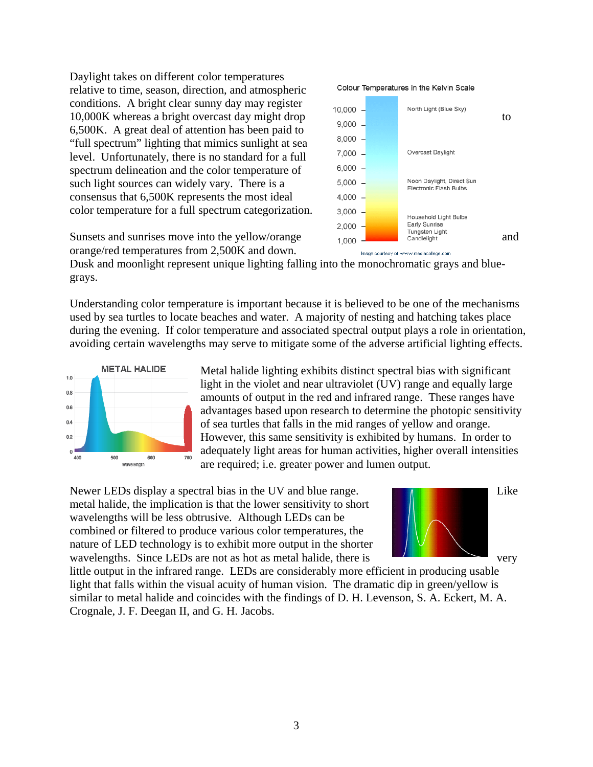Daylight takes on different color temperatures relative to time, season, direction, and atmospheric conditions. A bright clear sunny day may register 10,000 - North Light (Blue Sky)<br>10,000 K whereas a bright overcast day might drop  $\frac{10,000}{9,000}$  - North Light (Blue Sky) to 6,500K. A great deal of attention has been paid to "full spectrum" lighting that mimics sunlight at sea level. Unfortunately, there is no standard for a full spectrum delineation and the color temperature of such light sources can widely vary. There is a consensus that 6,500K represents the most ideal color temperature for a full spectrum categorization.

orange/red temperatures from 2,500K and down.

Dusk and moonlight represent unique lighting falling into the monochromatic grays and bluegrays.

Understanding color temperature is important because it is believed to be one of the mechanisms used by sea turtles to locate beaches and water. A majority of nesting and hatching takes place during the evening. If color temperature and associated spectral output plays a role in orientation, avoiding certain wavelengths may serve to mitigate some of the adverse artificial lighting effects.



Metal halide lighting exhibits distinct spectral bias with significant light in the violet and near ultraviolet (UV) range and equally large amounts of output in the red and infrared range. These ranges have advantages based upon research to determine the photopic sensitivity of sea turtles that falls in the mid ranges of yellow and orange. However, this same sensitivity is exhibited by humans. In order to adequately light areas for human activities, higher overall intensities are required; i.e. greater power and lumen output.

Newer LEDs display a spectral bias in the UV and blue range. Like metal halide, the implication is that the lower sensitivity to short wavelengths will be less obtrusive. Although LEDs can be combined or filtered to produce various color temperatures, the nature of LED technology is to exhibit more output in the shorter wavelengths. Since LEDs are not as hot as metal halide, there is very



little output in the infrared range. LEDs are considerably more efficient in producing usable light that falls within the visual acuity of human vision. The dramatic dip in green/yellow is similar to metal halide and coincides with the findings of D. H. Levenson, S. A. Eckert, M. A. Crognale, J. F. Deegan II, and G. H. Jacobs.



Image courtesy of www.mediacollege.com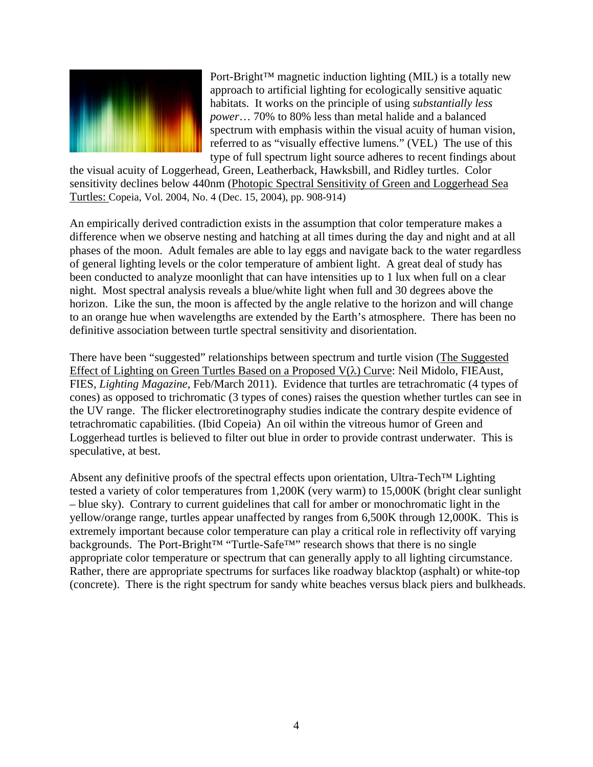

Port-Bright™ magnetic induction lighting (MIL) is a totally new approach to artificial lighting for ecologically sensitive aquatic habitats. It works on the principle of using *substantially less power*… 70% to 80% less than metal halide and a balanced spectrum with emphasis within the visual acuity of human vision, referred to as "visually effective lumens." (VEL) The use of this type of full spectrum light source adheres to recent findings about

the visual acuity of Loggerhead, Green, Leatherback, Hawksbill, and Ridley turtles. Color sensitivity declines below 440nm (Photopic Spectral Sensitivity of Green and Loggerhead Sea Turtles: Copeia, Vol. 2004, No. 4 (Dec. 15, 2004), pp. 908-914)

An empirically derived contradiction exists in the assumption that color temperature makes a difference when we observe nesting and hatching at all times during the day and night and at all phases of the moon. Adult females are able to lay eggs and navigate back to the water regardless of general lighting levels or the color temperature of ambient light. A great deal of study has been conducted to analyze moonlight that can have intensities up to 1 lux when full on a clear night. Most spectral analysis reveals a blue/white light when full and 30 degrees above the horizon. Like the sun, the moon is affected by the angle relative to the horizon and will change to an orange hue when wavelengths are extended by the Earth's atmosphere. There has been no definitive association between turtle spectral sensitivity and disorientation.

There have been "suggested" relationships between spectrum and turtle vision (The Suggested Effect of Lighting on Green Turtles Based on a Proposed  $V(\lambda)$  Curve: Neil Midolo, FIEAust, FIES, *Lighting Magazine*, Feb/March 2011). Evidence that turtles are tetrachromatic (4 types of cones) as opposed to trichromatic (3 types of cones) raises the question whether turtles can see in the UV range. The flicker electroretinography studies indicate the contrary despite evidence of tetrachromatic capabilities. (Ibid Copeia) An oil within the vitreous humor of Green and Loggerhead turtles is believed to filter out blue in order to provide contrast underwater. This is speculative, at best.

Absent any definitive proofs of the spectral effects upon orientation, Ultra-Tech™ Lighting tested a variety of color temperatures from 1,200K (very warm) to 15,000K (bright clear sunlight – blue sky). Contrary to current guidelines that call for amber or monochromatic light in the yellow/orange range, turtles appear unaffected by ranges from 6,500K through 12,000K. This is extremely important because color temperature can play a critical role in reflectivity off varying backgrounds. The Port-Bright™ "Turtle-Safe™" research shows that there is no single appropriate color temperature or spectrum that can generally apply to all lighting circumstance. Rather, there are appropriate spectrums for surfaces like roadway blacktop (asphalt) or white-top (concrete). There is the right spectrum for sandy white beaches versus black piers and bulkheads.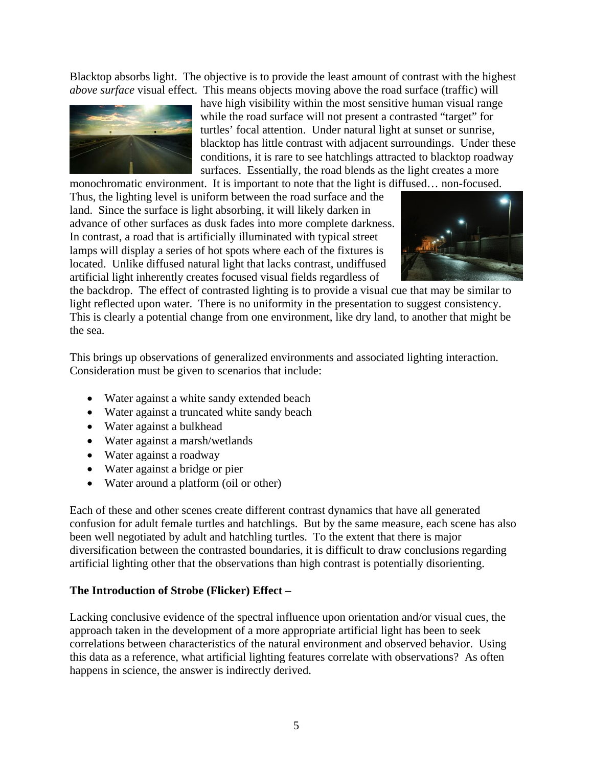Blacktop absorbs light. The objective is to provide the least amount of contrast with the highest *above surface* visual effect. This means objects moving above the road surface (traffic) will



have high visibility within the most sensitive human visual range while the road surface will not present a contrasted "target" for turtles' focal attention. Under natural light at sunset or sunrise, blacktop has little contrast with adjacent surroundings. Under these conditions, it is rare to see hatchlings attracted to blacktop roadway surfaces. Essentially, the road blends as the light creates a more

monochromatic environment. It is important to note that the light is diffused… non-focused. Thus, the lighting level is uniform between the road surface and the land. Since the surface is light absorbing, it will likely darken in advance of other surfaces as dusk fades into more complete darkness. In contrast, a road that is artificially illuminated with typical street lamps will display a series of hot spots where each of the fixtures is located. Unlike diffused natural light that lacks contrast, undiffused artificial light inherently creates focused visual fields regardless of



the backdrop. The effect of contrasted lighting is to provide a visual cue that may be similar to light reflected upon water. There is no uniformity in the presentation to suggest consistency. This is clearly a potential change from one environment, like dry land, to another that might be the sea.

This brings up observations of generalized environments and associated lighting interaction. Consideration must be given to scenarios that include:

- Water against a white sandy extended beach
- Water against a truncated white sandy beach
- Water against a bulkhead
- Water against a marsh/wetlands
- Water against a roadway
- Water against a bridge or pier
- Water around a platform (oil or other)

Each of these and other scenes create different contrast dynamics that have all generated confusion for adult female turtles and hatchlings. But by the same measure, each scene has also been well negotiated by adult and hatchling turtles. To the extent that there is major diversification between the contrasted boundaries, it is difficult to draw conclusions regarding artificial lighting other that the observations than high contrast is potentially disorienting.

#### **The Introduction of Strobe (Flicker) Effect –**

Lacking conclusive evidence of the spectral influence upon orientation and/or visual cues, the approach taken in the development of a more appropriate artificial light has been to seek correlations between characteristics of the natural environment and observed behavior. Using this data as a reference, what artificial lighting features correlate with observations? As often happens in science, the answer is indirectly derived.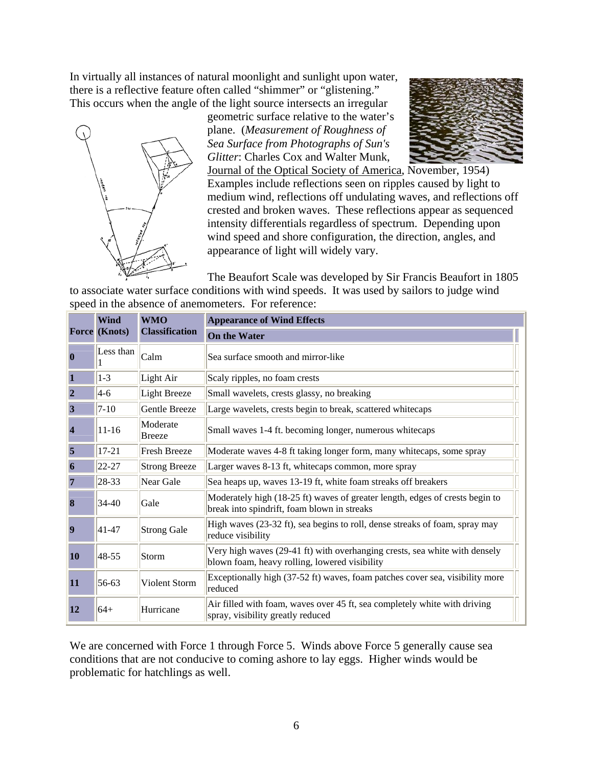In virtually all instances of natural moonlight and sunlight upon water, there is a reflective feature often called "shimmer" or "glistening." This occurs when the angle of the light source intersects an irregular



geometric surface relative to the water's plane. (*Measurement of Roughness of Sea Surface from Photographs of Sun's Glitter*: Charles Cox and Walter Munk,



Journal of the Optical Society of America, November, 1954) Examples include reflections seen on ripples caused by light to medium wind, reflections off undulating waves, and reflections off crested and broken waves. These reflections appear as sequenced intensity differentials regardless of spectrum. Depending upon wind speed and shore configuration, the direction, angles, and appearance of light will widely vary.

The Beaufort Scale was developed by Sir Francis Beaufort in 1805

to associate water surface conditions with wind speeds. It was used by sailors to judge wind speed in the absence of anemometers. For reference:

|                  | <b>Wind</b><br><b>Force</b> (Knots) | <b>WMO</b><br><b>Classification</b> | <b>Appearance of Wind Effects</b>                                                                                           |
|------------------|-------------------------------------|-------------------------------------|-----------------------------------------------------------------------------------------------------------------------------|
|                  |                                     |                                     | <b>On the Water</b>                                                                                                         |
| $\bf{0}$         | Less than                           | Calm                                | Sea surface smooth and mirror-like                                                                                          |
| 1                | $1-3$                               | Light Air                           | Scaly ripples, no foam crests                                                                                               |
| $\overline{2}$   | $4-6$                               | <b>Light Breeze</b>                 | Small wavelets, crests glassy, no breaking                                                                                  |
| 3                | $7 - 10$                            | Gentle Breeze                       | Large wavelets, crests begin to break, scattered whitecaps                                                                  |
| $\overline{4}$   | $11 - 16$                           | Moderate<br><b>Breeze</b>           | Small waves 1-4 ft. becoming longer, numerous whitecaps                                                                     |
| 5                | $17 - 21$                           | <b>Fresh Breeze</b>                 | Moderate waves 4-8 ft taking longer form, many whitecaps, some spray                                                        |
| 6                | 22-27                               | <b>Strong Breeze</b>                | Larger waves 8-13 ft, whitecaps common, more spray                                                                          |
| 7                | 28-33                               | Near Gale                           | Sea heaps up, waves 13-19 ft, white foam streaks off breakers                                                               |
| $\bf{8}$         | $34-40$                             | Gale                                | Moderately high (18-25 ft) waves of greater length, edges of crests begin to<br>break into spindrift, foam blown in streaks |
| $\boldsymbol{9}$ | $41 - 47$                           | <b>Strong Gale</b>                  | High waves (23-32 ft), sea begins to roll, dense streaks of foam, spray may<br>reduce visibility                            |
| <b>10</b>        | 48-55                               | Storm                               | Very high waves (29-41 ft) with overhanging crests, sea white with densely<br>blown foam, heavy rolling, lowered visibility |
| 11               | 56-63                               | Violent Storm                       | Exceptionally high (37-52 ft) waves, foam patches cover sea, visibility more<br>reduced                                     |
| <b>12</b>        | $64+$                               | Hurricane                           | Air filled with foam, waves over 45 ft, sea completely white with driving<br>spray, visibility greatly reduced              |

We are concerned with Force 1 through Force 5. Winds above Force 5 generally cause sea conditions that are not conducive to coming ashore to lay eggs. Higher winds would be problematic for hatchlings as well.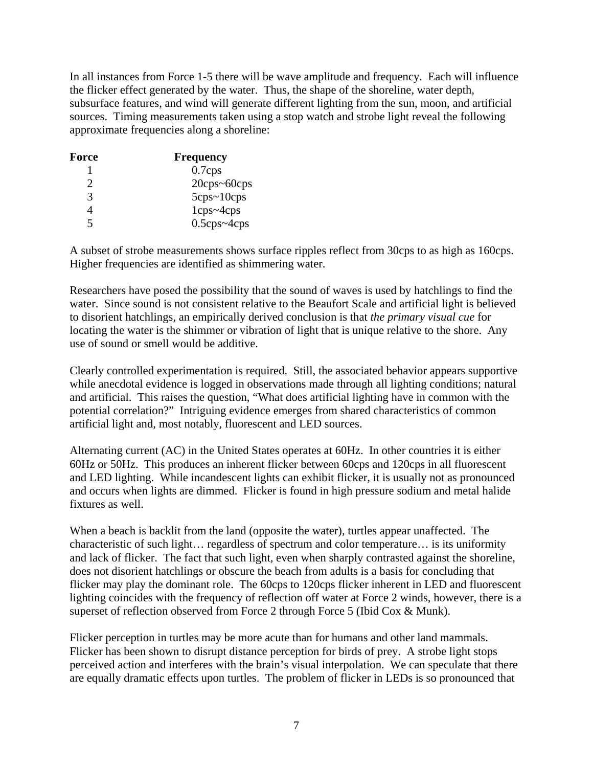In all instances from Force 1-5 there will be wave amplitude and frequency. Each will influence the flicker effect generated by the water. Thus, the shape of the shoreline, water depth, subsurface features, and wind will generate different lighting from the sun, moon, and artificial sources. Timing measurements taken using a stop watch and strobe light reveal the following approximate frequencies along a shoreline:

| Force | <b>Frequency</b>                   |
|-------|------------------------------------|
|       | $0.7$ cps                          |
| 2     | $20 \text{cps} \sim 60 \text{cps}$ |
| 3     | 5cps~10cps                         |
| 4     | $1cps - 4cps$                      |
| 5     | $0.5$ cps~4cps                     |

A subset of strobe measurements shows surface ripples reflect from 30cps to as high as 160cps. Higher frequencies are identified as shimmering water.

Researchers have posed the possibility that the sound of waves is used by hatchlings to find the water. Since sound is not consistent relative to the Beaufort Scale and artificial light is believed to disorient hatchlings, an empirically derived conclusion is that *the primary visual cue* for locating the water is the shimmer or vibration of light that is unique relative to the shore. Any use of sound or smell would be additive.

Clearly controlled experimentation is required. Still, the associated behavior appears supportive while anecdotal evidence is logged in observations made through all lighting conditions; natural and artificial. This raises the question, "What does artificial lighting have in common with the potential correlation?" Intriguing evidence emerges from shared characteristics of common artificial light and, most notably, fluorescent and LED sources.

Alternating current (AC) in the United States operates at 60Hz. In other countries it is either 60Hz or 50Hz. This produces an inherent flicker between 60cps and 120cps in all fluorescent and LED lighting. While incandescent lights can exhibit flicker, it is usually not as pronounced and occurs when lights are dimmed. Flicker is found in high pressure sodium and metal halide fixtures as well.

When a beach is backlit from the land (opposite the water), turtles appear unaffected. The characteristic of such light… regardless of spectrum and color temperature… is its uniformity and lack of flicker. The fact that such light, even when sharply contrasted against the shoreline, does not disorient hatchlings or obscure the beach from adults is a basis for concluding that flicker may play the dominant role. The 60cps to 120cps flicker inherent in LED and fluorescent lighting coincides with the frequency of reflection off water at Force 2 winds, however, there is a superset of reflection observed from Force 2 through Force 5 (Ibid Cox & Munk).

Flicker perception in turtles may be more acute than for humans and other land mammals. Flicker has been shown to disrupt distance perception for birds of prey. A strobe light stops perceived action and interferes with the brain's visual interpolation. We can speculate that there are equally dramatic effects upon turtles. The problem of flicker in LEDs is so pronounced that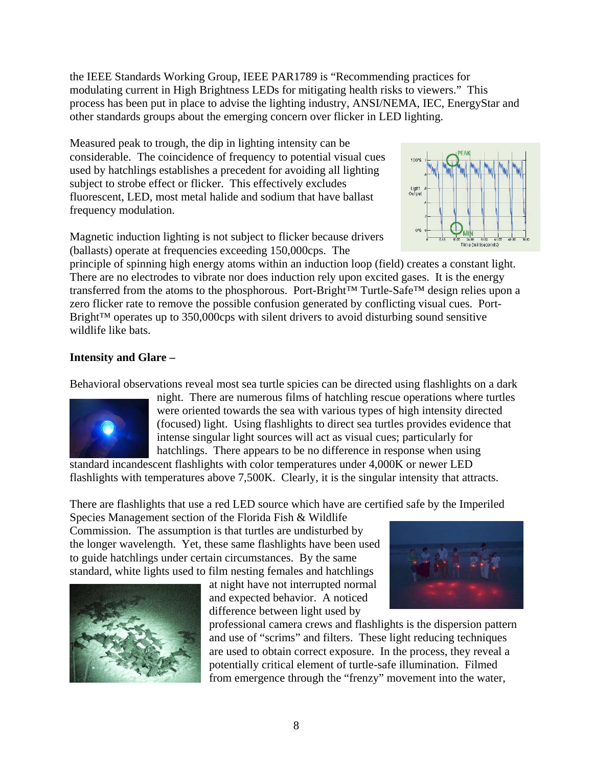the IEEE Standards Working Group, IEEE PAR1789 is "Recommending practices for modulating current in High Brightness LEDs for mitigating health risks to viewers." This process has been put in place to advise the lighting industry, ANSI/NEMA, IEC, EnergyStar and other standards groups about the emerging concern over flicker in LED lighting.

Measured peak to trough, the dip in lighting intensity can be considerable. The coincidence of frequency to potential visual cues used by hatchlings establishes a precedent for avoiding all lighting subject to strobe effect or flicker. This effectively excludes fluorescent, LED, most metal halide and sodium that have ballast frequency modulation.





principle of spinning high energy atoms within an induction loop (field) creates a constant light. There are no electrodes to vibrate nor does induction rely upon excited gases. It is the energy transferred from the atoms to the phosphorous. Port-Bright™ Turtle-Safe™ design relies upon a zero flicker rate to remove the possible confusion generated by conflicting visual cues. Port-Bright™ operates up to 350,000cps with silent drivers to avoid disturbing sound sensitive wildlife like bats.

### **Intensity and Glare –**

Behavioral observations reveal most sea turtle spicies can be directed using flashlights on a dark



night. There are numerous films of hatchling rescue operations where turtles were oriented towards the sea with various types of high intensity directed (focused) light. Using flashlights to direct sea turtles provides evidence that intense singular light sources will act as visual cues; particularly for hatchlings. There appears to be no difference in response when using

standard incandescent flashlights with color temperatures under 4,000K or newer LED flashlights with temperatures above 7,500K. Clearly, it is the singular intensity that attracts.

There are flashlights that use a red LED source which have are certified safe by the Imperiled

Species Management section of the Florida Fish & Wildlife Commission. The assumption is that turtles are undisturbed by the longer wavelength. Yet, these same flashlights have been used to guide hatchlings under certain circumstances. By the same standard, white lights used to film nesting females and hatchlings



at night have not interrupted normal and expected behavior. A noticed difference between light used by

professional camera crews and flashlights is the dispersion pattern and use of "scrims" and filters. These light reducing techniques are used to obtain correct exposure. In the process, they reveal a potentially critical element of turtle-safe illumination. Filmed from emergence through the "frenzy" movement into the water,

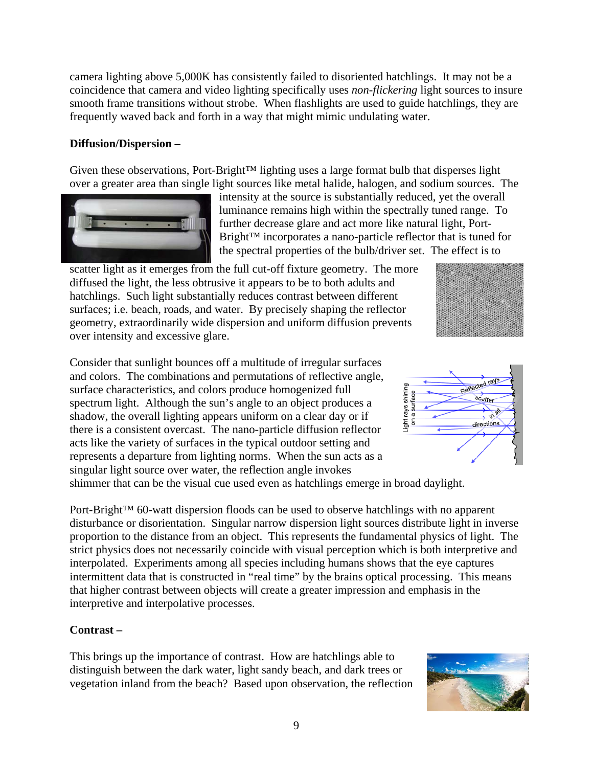coincidence that camera and video lighting specifically uses *non-flickering* light sources to insure smooth frame transitions without strobe. When flashlights are used to guide hatchlings, they are frequently waved back and forth in a way that might mimic undulating water.

camera lighting above 5,000K has consistently failed to disoriented hatchlings. It may not be a

#### **Diffusion/Dispersion –**

Given these observations, Port-Bright™ lighting uses a large format bulb that disperses light over a greater area than single light sources like metal halide, halogen, and sodium sources. The



intensity at the source is substantially reduced, yet the overall luminance remains high within the spectrally tuned range. To further decrease glare and act more like natural light, Port-Bright™ incorporates a nano-particle reflector that is tuned for the spectral properties of the bulb/driver set. The effect is to

scatter light as it emerges from the full cut-off fixture geometry. The more diffused the light, the less obtrusive it appears to be to both adults and hatchlings. Such light substantially reduces contrast between different surfaces; i.e. beach, roads, and water. By precisely shaping the reflector geometry, extraordinarily wide dispersion and uniform diffusion prevents over intensity and excessive glare.

Consider that sunlight bounces off a multitude of irregular surfaces and colors. The combinations and permutations of reflective angle, surface characteristics, and colors produce homogenized full spectrum light. Although the sun's angle to an object produces a shadow, the overall lighting appears uniform on a clear day or if there is a consistent overcast. The nano-particle diffusion reflector acts like the variety of surfaces in the typical outdoor setting and represents a departure from lighting norms. When the sun acts as a singular light source over water, the reflection angle invokes

shimmer that can be the visual cue used even as hatchlings emerge in broad daylight.

Port-Bright™ 60-watt dispersion floods can be used to observe hatchlings with no apparent disturbance or disorientation. Singular narrow dispersion light sources distribute light in inverse proportion to the distance from an object. This represents the fundamental physics of light. The strict physics does not necessarily coincide with visual perception which is both interpretive and interpolated. Experiments among all species including humans shows that the eye captures intermittent data that is constructed in "real time" by the brains optical processing. This means that higher contrast between objects will create a greater impression and emphasis in the interpretive and interpolative processes.

## **Contrast –**

This brings up the importance of contrast. How are hatchlings able to distinguish between the dark water, light sandy beach, and dark trees or vegetation inland from the beach? Based upon observation, the reflection



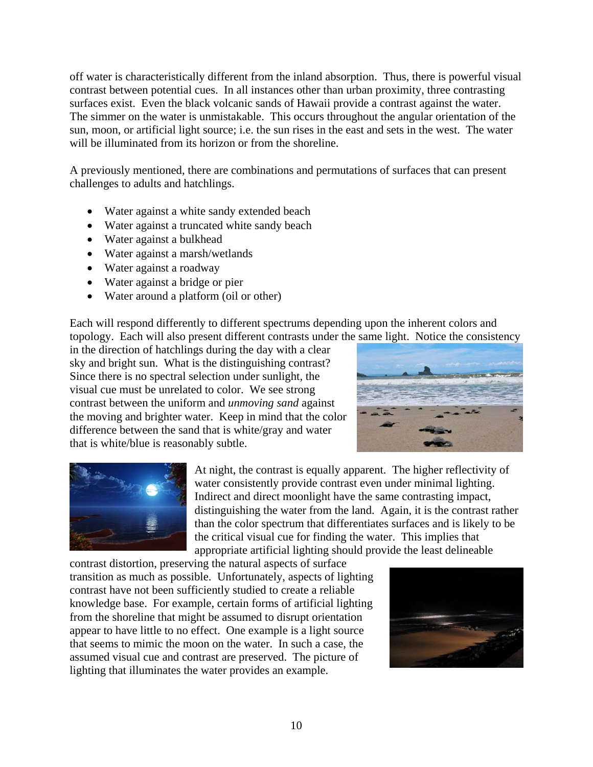off water is characteristically different from the inland absorption. Thus, there is powerful visual contrast between potential cues. In all instances other than urban proximity, three contrasting surfaces exist. Even the black volcanic sands of Hawaii provide a contrast against the water. The simmer on the water is unmistakable. This occurs throughout the angular orientation of the sun, moon, or artificial light source; i.e. the sun rises in the east and sets in the west. The water will be illuminated from its horizon or from the shoreline.

A previously mentioned, there are combinations and permutations of surfaces that can present challenges to adults and hatchlings.

- Water against a white sandy extended beach
- Water against a truncated white sandy beach
- Water against a bulkhead
- Water against a marsh/wetlands
- Water against a roadway
- Water against a bridge or pier
- Water around a platform (oil or other)

Each will respond differently to different spectrums depending upon the inherent colors and topology. Each will also present different contrasts under the same light. Notice the consistency

in the direction of hatchlings during the day with a clear sky and bright sun. What is the distinguishing contrast? Since there is no spectral selection under sunlight, the visual cue must be unrelated to color. We see strong contrast between the uniform and *unmoving sand* against the moving and brighter water. Keep in mind that the color difference between the sand that is white/gray and water that is white/blue is reasonably subtle.





At night, the contrast is equally apparent. The higher reflectivity of water consistently provide contrast even under minimal lighting. Indirect and direct moonlight have the same contrasting impact, distinguishing the water from the land. Again, it is the contrast rather than the color spectrum that differentiates surfaces and is likely to be the critical visual cue for finding the water. This implies that appropriate artificial lighting should provide the least delineable

contrast distortion, preserving the natural aspects of surface transition as much as possible. Unfortunately, aspects of lighting contrast have not been sufficiently studied to create a reliable knowledge base. For example, certain forms of artificial lighting from the shoreline that might be assumed to disrupt orientation appear to have little to no effect. One example is a light source that seems to mimic the moon on the water. In such a case, the assumed visual cue and contrast are preserved. The picture of lighting that illuminates the water provides an example.

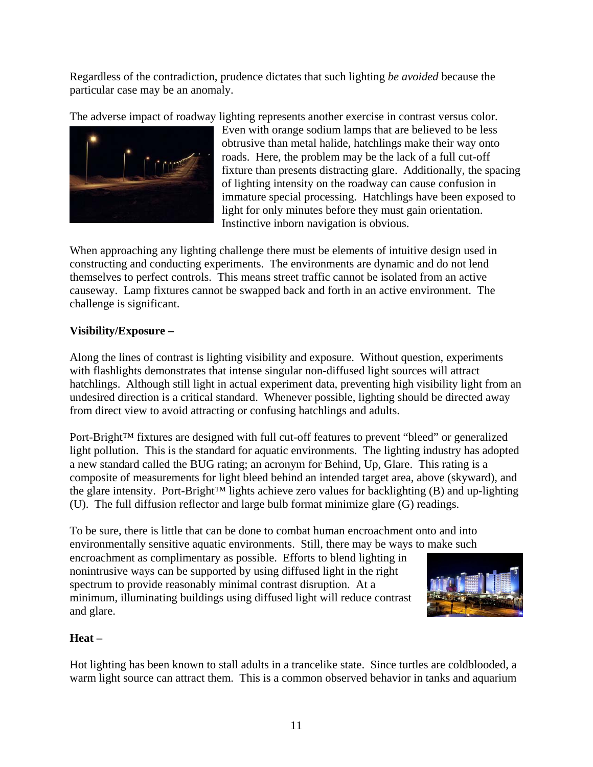Regardless of the contradiction, prudence dictates that such lighting *be avoided* because the particular case may be an anomaly.

The adverse impact of roadway lighting represents another exercise in contrast versus color.



Even with orange sodium lamps that are believed to be less obtrusive than metal halide, hatchlings make their way onto roads. Here, the problem may be the lack of a full cut-off fixture than presents distracting glare. Additionally, the spacing of lighting intensity on the roadway can cause confusion in immature special processing. Hatchlings have been exposed to light for only minutes before they must gain orientation. Instinctive inborn navigation is obvious.

When approaching any lighting challenge there must be elements of intuitive design used in constructing and conducting experiments. The environments are dynamic and do not lend themselves to perfect controls. This means street traffic cannot be isolated from an active causeway. Lamp fixtures cannot be swapped back and forth in an active environment. The challenge is significant.

### **Visibility/Exposure –**

Along the lines of contrast is lighting visibility and exposure. Without question, experiments with flashlights demonstrates that intense singular non-diffused light sources will attract hatchlings. Although still light in actual experiment data, preventing high visibility light from an undesired direction is a critical standard. Whenever possible, lighting should be directed away from direct view to avoid attracting or confusing hatchlings and adults.

Port-Bright™ fixtures are designed with full cut-off features to prevent "bleed" or generalized light pollution. This is the standard for aquatic environments. The lighting industry has adopted a new standard called the BUG rating; an acronym for Behind, Up, Glare. This rating is a composite of measurements for light bleed behind an intended target area, above (skyward), and the glare intensity. Port-Bright™ lights achieve zero values for backlighting (B) and up-lighting (U). The full diffusion reflector and large bulb format minimize glare (G) readings.

To be sure, there is little that can be done to combat human encroachment onto and into environmentally sensitive aquatic environments. Still, there may be ways to make such

encroachment as complimentary as possible. Efforts to blend lighting in nonintrusive ways can be supported by using diffused light in the right spectrum to provide reasonably minimal contrast disruption. At a minimum, illuminating buildings using diffused light will reduce contrast and glare.



#### **Heat –**

Hot lighting has been known to stall adults in a trancelike state. Since turtles are coldblooded, a warm light source can attract them. This is a common observed behavior in tanks and aquarium